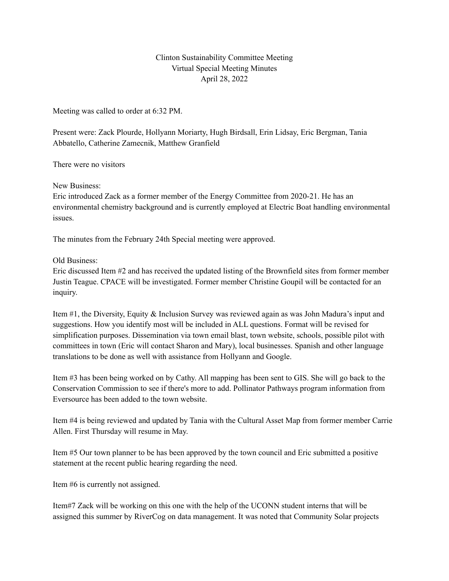## Clinton Sustainability Committee Meeting Virtual Special Meeting Minutes April 28, 2022

Meeting was called to order at 6:32 PM.

Present were: Zack Plourde, Hollyann Moriarty, Hugh Birdsall, Erin Lidsay, Eric Bergman, Tania Abbatello, Catherine Zamecnik, Matthew Granfield

There were no visitors

New Business:

Eric introduced Zack as a former member of the Energy Committee from 2020-21. He has an environmental chemistry background and is currently employed at Electric Boat handling environmental issues.

The minutes from the February 24th Special meeting were approved.

Old Business:

Eric discussed Item #2 and has received the updated listing of the Brownfield sites from former member Justin Teague. CPACE will be investigated. Former member Christine Goupil will be contacted for an inquiry.

Item #1, the Diversity, Equity & Inclusion Survey was reviewed again as was John Madura's input and suggestions. How you identify most will be included in ALL questions. Format will be revised for simplification purposes. Dissemination via town email blast, town website, schools, possible pilot with committees in town (Eric will contact Sharon and Mary), local businesses. Spanish and other language translations to be done as well with assistance from Hollyann and Google.

Item #3 has been being worked on by Cathy. All mapping has been sent to GIS. She will go back to the Conservation Commission to see if there's more to add. Pollinator Pathways program information from Eversource has been added to the town website.

Item #4 is being reviewed and updated by Tania with the Cultural Asset Map from former member Carrie Allen. First Thursday will resume in May.

Item #5 Our town planner to be has been approved by the town council and Eric submitted a positive statement at the recent public hearing regarding the need.

Item #6 is currently not assigned.

Item#7 Zack will be working on this one with the help of the UCONN student interns that will be assigned this summer by RiverCog on data management. It was noted that Community Solar projects